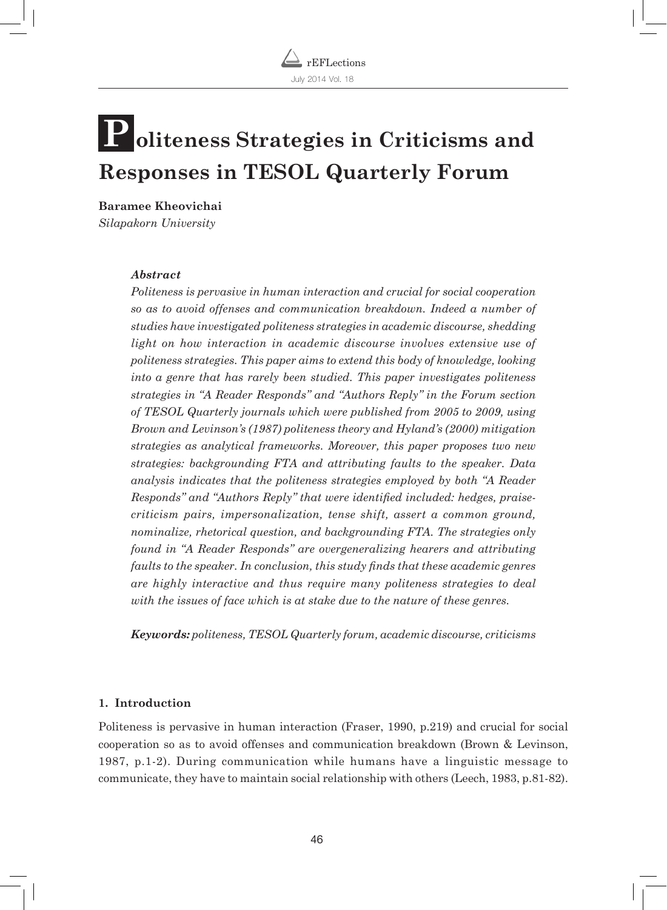

# $\bf{P}$  oliteness Strategies in Criticisms and **Responses in TESOL Quarterly Forum**

**Baramee Kheovichai** *Silapakorn University*

#### *Abstract*

*Politeness is pervasive in human interaction and crucial for social cooperation so as to avoid offenses and communication breakdown. Indeed a number of studies have investigated politeness strategies in academic discourse, shedding light on how interaction in academic discourse involves extensive use of politeness strategies. This paper aims to extend this body of knowledge, looking into a genre that has rarely been studied. This paper investigates politeness strategies in "A Reader Responds" and "Authors Reply" in the Forum section of TESOL Quarterly journals which were published from 2005 to 2009, using Brown and Levinson's (1987) politeness theory and Hyland's (2000) mitigation strategies as analytical frameworks. Moreover, this paper proposes two new strategies: backgrounding FTA and attributing faults to the speaker. Data analysis indicates that the politeness strategies employed by both "A Reader Responds" and "Authors Reply" that were identified included: hedges, praisecriticism pairs, impersonalization, tense shift, assert a common ground, nominalize, rhetorical question, and backgrounding FTA. The strategies only found in "A Reader Responds" are overgeneralizing hearers and attributing faults to the speaker. In conclusion, this study finds that these academic genres are highly interactive and thus require many politeness strategies to deal with the issues of face which is at stake due to the nature of these genres.*

*Keywords: politeness, TESOL Quarterly forum, academic discourse, criticisms*

#### **1. Introduction**

Politeness is pervasive in human interaction (Fraser, 1990, p.219) and crucial for social cooperation so as to avoid offenses and communication breakdown (Brown & Levinson, 1987, p.1-2). During communication while humans have a linguistic message to communicate, they have to maintain social relationship with others (Leech, 1983, p.81-82).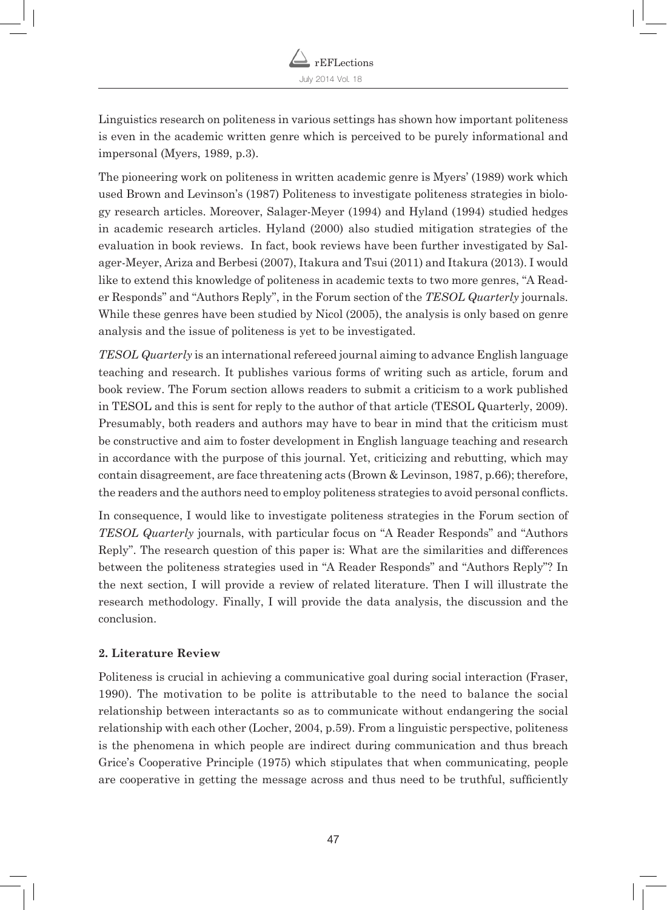

Linguistics research on politeness in various settings has shown how important politeness is even in the academic written genre which is perceived to be purely informational and impersonal (Myers, 1989, p.3).

The pioneering work on politeness in written academic genre is Myers' (1989) work which used Brown and Levinson's (1987) Politeness to investigate politeness strategies in biology research articles. Moreover, Salager-Meyer (1994) and Hyland (1994) studied hedges in academic research articles. Hyland (2000) also studied mitigation strategies of the evaluation in book reviews. In fact, book reviews have been further investigated by Salager-Meyer, Ariza and Berbesi (2007), Itakura and Tsui (2011) and Itakura (2013). I would like to extend this knowledge of politeness in academic texts to two more genres, "A Reader Responds" and "Authors Reply", in the Forum section of the *TESOL Quarterly* journals. While these genres have been studied by Nicol (2005), the analysis is only based on genre analysis and the issue of politeness is yet to be investigated.

*TESOL Quarterly* is an international refereed journal aiming to advance English language teaching and research. It publishes various forms of writing such as article, forum and book review. The Forum section allows readers to submit a criticism to a work published in TESOL and this is sent for reply to the author of that article (TESOL Quarterly, 2009). Presumably, both readers and authors may have to bear in mind that the criticism must be constructive and aim to foster development in English language teaching and research in accordance with the purpose of this journal. Yet, criticizing and rebutting, which may contain disagreement, are face threatening acts (Brown & Levinson, 1987, p.66); therefore, the readers and the authors need to employ politeness strategies to avoid personal conflicts.

In consequence, I would like to investigate politeness strategies in the Forum section of *TESOL Quarterly* journals, with particular focus on "A Reader Responds" and "Authors Reply". The research question of this paper is: What are the similarities and differences between the politeness strategies used in "A Reader Responds" and "Authors Reply"? In the next section, I will provide a review of related literature. Then I will illustrate the research methodology. Finally, I will provide the data analysis, the discussion and the conclusion.

#### **2. Literature Review**

Politeness is crucial in achieving a communicative goal during social interaction (Fraser, 1990). The motivation to be polite is attributable to the need to balance the social relationship between interactants so as to communicate without endangering the social relationship with each other (Locher, 2004, p.59). From a linguistic perspective, politeness is the phenomena in which people are indirect during communication and thus breach Grice's Cooperative Principle (1975) which stipulates that when communicating, people are cooperative in getting the message across and thus need to be truthful, sufficiently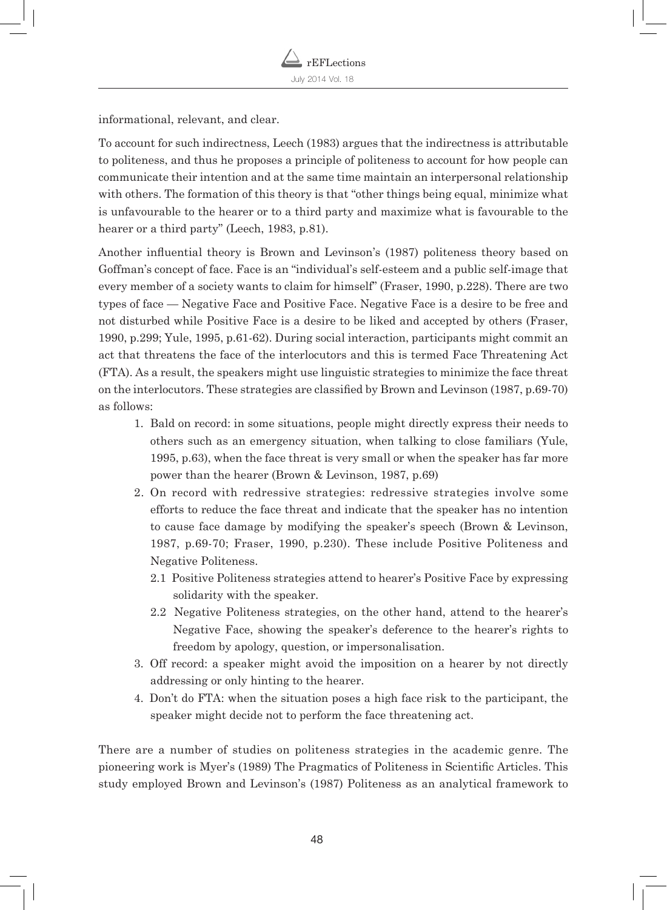informational, relevant, and clear.

To account for such indirectness, Leech (1983) argues that the indirectness is attributable to politeness, and thus he proposes a principle of politeness to account for how people can communicate their intention and at the same time maintain an interpersonal relationship with others. The formation of this theory is that "other things being equal, minimize what is unfavourable to the hearer or to a third party and maximize what is favourable to the hearer or a third party" (Leech, 1983, p.81).

Another influential theory is Brown and Levinson's (1987) politeness theory based on Goffman's concept of face. Face is an "individual's self-esteem and a public self-image that every member of a society wants to claim for himself" (Fraser, 1990, p.228). There are two types of face — Negative Face and Positive Face. Negative Face is a desire to be free and not disturbed while Positive Face is a desire to be liked and accepted by others (Fraser, 1990, p.299; Yule, 1995, p.61-62). During social interaction, participants might commit an act that threatens the face of the interlocutors and this is termed Face Threatening Act (FTA). As a result, the speakers might use linguistic strategies to minimize the face threat on the interlocutors. These strategies are classified by Brown and Levinson (1987, p.69-70) as follows:

- 1. Bald on record: in some situations, people might directly express their needs to others such as an emergency situation, when talking to close familiars (Yule, 1995, p.63), when the face threat is very small or when the speaker has far more power than the hearer (Brown & Levinson, 1987, p.69)
- 2. On record with redressive strategies: redressive strategies involve some efforts to reduce the face threat and indicate that the speaker has no intention to cause face damage by modifying the speaker's speech (Brown & Levinson, 1987, p.69-70; Fraser, 1990, p.230). These include Positive Politeness and Negative Politeness.
	- 2.1 Positive Politeness strategies attend to hearer's Positive Face by expressing solidarity with the speaker.
	- 2.2 Negative Politeness strategies, on the other hand, attend to the hearer's Negative Face, showing the speaker's deference to the hearer's rights to freedom by apology, question, or impersonalisation.
- 3. Off record: a speaker might avoid the imposition on a hearer by not directly addressing or only hinting to the hearer.
- 4. Don't do FTA: when the situation poses a high face risk to the participant, the speaker might decide not to perform the face threatening act.

There are a number of studies on politeness strategies in the academic genre. The pioneering work is Myer's (1989) The Pragmatics of Politeness in Scientific Articles. This study employed Brown and Levinson's (1987) Politeness as an analytical framework to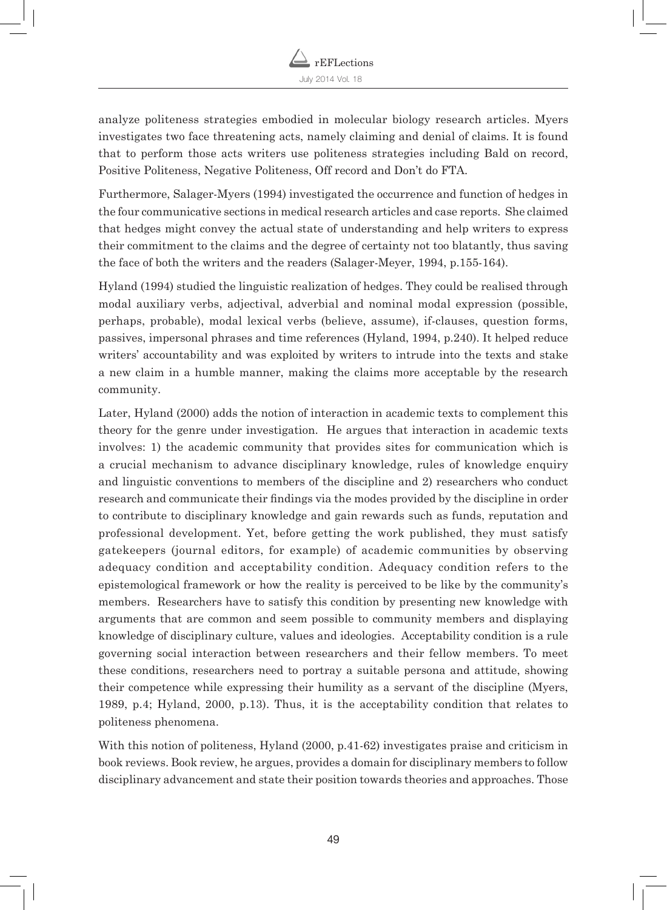analyze politeness strategies embodied in molecular biology research articles. Myers investigates two face threatening acts, namely claiming and denial of claims. It is found that to perform those acts writers use politeness strategies including Bald on record, Positive Politeness, Negative Politeness, Off record and Don't do FTA.

Furthermore, Salager-Myers (1994) investigated the occurrence and function of hedges in the four communicative sections in medical research articles and case reports. She claimed that hedges might convey the actual state of understanding and help writers to express their commitment to the claims and the degree of certainty not too blatantly, thus saving the face of both the writers and the readers (Salager-Meyer, 1994, p.155-164).

Hyland (1994) studied the linguistic realization of hedges. They could be realised through modal auxiliary verbs, adjectival, adverbial and nominal modal expression (possible, perhaps, probable), modal lexical verbs (believe, assume), if-clauses, question forms, passives, impersonal phrases and time references (Hyland, 1994, p.240). It helped reduce writers' accountability and was exploited by writers to intrude into the texts and stake a new claim in a humble manner, making the claims more acceptable by the research community.

Later, Hyland (2000) adds the notion of interaction in academic texts to complement this theory for the genre under investigation. He argues that interaction in academic texts involves: 1) the academic community that provides sites for communication which is a crucial mechanism to advance disciplinary knowledge, rules of knowledge enquiry and linguistic conventions to members of the discipline and 2) researchers who conduct research and communicate their findings via the modes provided by the discipline in order to contribute to disciplinary knowledge and gain rewards such as funds, reputation and professional development. Yet, before getting the work published, they must satisfy gatekeepers (journal editors, for example) of academic communities by observing adequacy condition and acceptability condition. Adequacy condition refers to the epistemological framework or how the reality is perceived to be like by the community's members. Researchers have to satisfy this condition by presenting new knowledge with arguments that are common and seem possible to community members and displaying knowledge of disciplinary culture, values and ideologies. Acceptability condition is a rule governing social interaction between researchers and their fellow members. To meet these conditions, researchers need to portray a suitable persona and attitude, showing their competence while expressing their humility as a servant of the discipline (Myers, 1989, p.4; Hyland, 2000, p.13). Thus, it is the acceptability condition that relates to politeness phenomena.

With this notion of politeness, Hyland (2000, p.41-62) investigates praise and criticism in book reviews. Book review, he argues, provides a domain for disciplinary members to follow disciplinary advancement and state their position towards theories and approaches. Those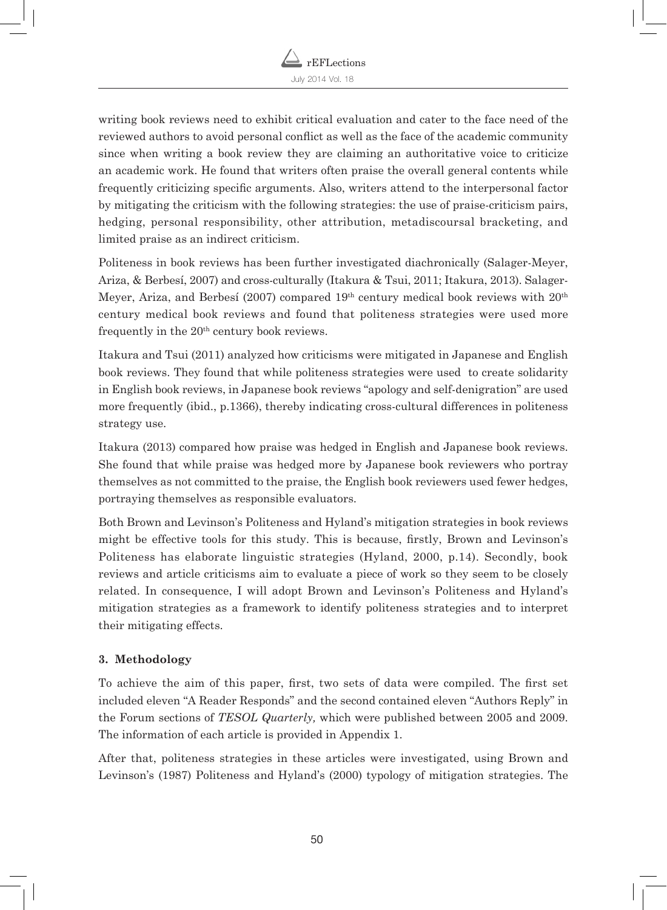

writing book reviews need to exhibit critical evaluation and cater to the face need of the reviewed authors to avoid personal conflict as well as the face of the academic community since when writing a book review they are claiming an authoritative voice to criticize an academic work. He found that writers often praise the overall general contents while frequently criticizing specific arguments. Also, writers attend to the interpersonal factor by mitigating the criticism with the following strategies: the use of praise-criticism pairs, hedging, personal responsibility, other attribution, metadiscoursal bracketing, and limited praise as an indirect criticism.

Politeness in book reviews has been further investigated diachronically (Salager-Meyer, Ariza, & Berbesí, 2007) and cross-culturally (Itakura & Tsui, 2011; Itakura, 2013). Salager-Meyer, Ariza, and Berbesí (2007) compared  $19<sup>th</sup>$  century medical book reviews with  $20<sup>th</sup>$ century medical book reviews and found that politeness strategies were used more frequently in the  $20<sup>th</sup>$  century book reviews.

Itakura and Tsui (2011) analyzed how criticisms were mitigated in Japanese and English book reviews. They found that while politeness strategies were used to create solidarity in English book reviews, in Japanese book reviews "apology and self-denigration" are used more frequently (ibid., p.1366), thereby indicating cross-cultural differences in politeness strategy use.

Itakura (2013) compared how praise was hedged in English and Japanese book reviews. She found that while praise was hedged more by Japanese book reviewers who portray themselves as not committed to the praise, the English book reviewers used fewer hedges, portraying themselves as responsible evaluators.

Both Brown and Levinson's Politeness and Hyland's mitigation strategies in book reviews might be effective tools for this study. This is because, firstly, Brown and Levinson's Politeness has elaborate linguistic strategies (Hyland, 2000, p.14). Secondly, book reviews and article criticisms aim to evaluate a piece of work so they seem to be closely related. In consequence, I will adopt Brown and Levinson's Politeness and Hyland's mitigation strategies as a framework to identify politeness strategies and to interpret their mitigating effects.

# **3. Methodology**

To achieve the aim of this paper, first, two sets of data were compiled. The first set included eleven "A Reader Responds" and the second contained eleven "Authors Reply" in the Forum sections of *TESOL Quarterly,* which were published between 2005 and 2009. The information of each article is provided in Appendix 1.

After that, politeness strategies in these articles were investigated, using Brown and Levinson's (1987) Politeness and Hyland's (2000) typology of mitigation strategies. The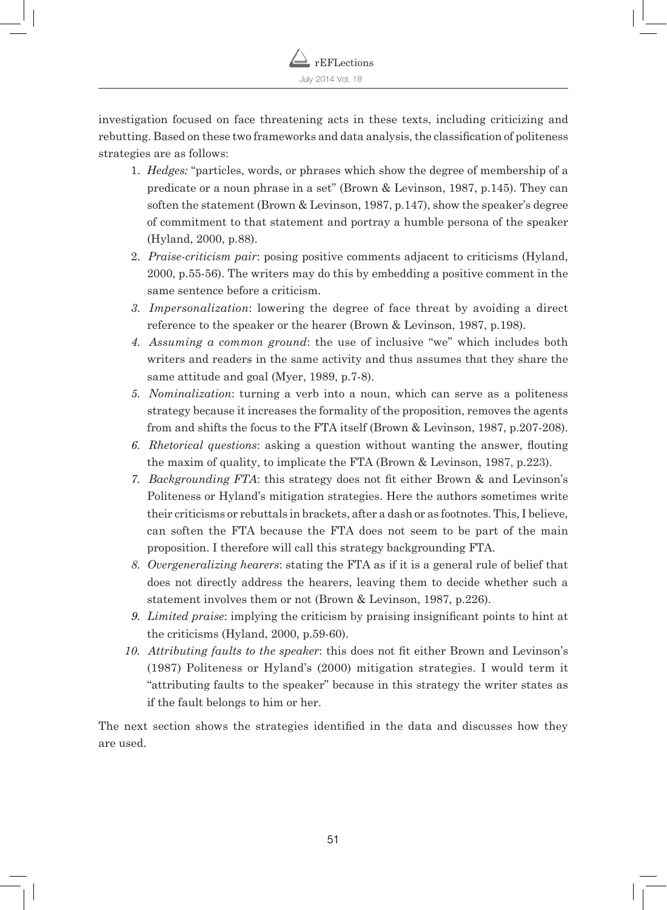investigation focused on face threatening acts in these texts, including criticizing and rebutting. Based on these two frameworks and data analysis, the classification of politeness strategies are as follows:

- 1. *Hedges:* "particles, words, or phrases which show the degree of membership of a predicate or a noun phrase in a set" (Brown & Levinson, 1987, p.145). They can soften the statement (Brown & Levinson, 1987, p.147), show the speaker's degree of commitment to that statement and portray a humble persona of the speaker (Hyland, 2000, p.88).
- 2. *Praise-criticism pair*: posing positive comments adjacent to criticisms (Hyland, 2000, p.55-56). The writers may do this by embedding a positive comment in the same sentence before a criticism.
- *3. Impersonalization*: lowering the degree of face threat by avoiding a direct reference to the speaker or the hearer (Brown & Levinson, 1987, p.198).
- *4. Assuming a common ground*: the use of inclusive "we" which includes both writers and readers in the same activity and thus assumes that they share the same attitude and goal (Myer, 1989, p.7-8).
- *5. Nominalization*: turning a verb into a noun, which can serve as a politeness strategy because it increases the formality of the proposition, removes the agents from and shifts the focus to the FTA itself (Brown & Levinson, 1987, p.207-208).
- *6. Rhetorical questions*: asking a question without wanting the answer, flouting the maxim of quality, to implicate the FTA (Brown & Levinson, 1987, p.223).
- *7. Backgrounding FTA*: this strategy does not fit either Brown & and Levinson's Politeness or Hyland's mitigation strategies. Here the authors sometimes write their criticisms or rebuttals in brackets, after a dash or as footnotes. This, I believe, can soften the FTA because the FTA does not seem to be part of the main proposition. I therefore will call this strategy backgrounding FTA.
- *8. Overgeneralizing hearers*: stating the FTA as if it is a general rule of belief that does not directly address the hearers, leaving them to decide whether such a statement involves them or not (Brown & Levinson, 1987, p.226).
- *9. Limited praise*: implying the criticism by praising insignificant points to hint at the criticisms (Hyland, 2000, p.59-60).
- *10. Attributing faults to the speaker*: this does not fit either Brown and Levinson's (1987) Politeness or Hyland's (2000) mitigation strategies. I would term it "attributing faults to the speaker" because in this strategy the writer states as if the fault belongs to him or her.

The next section shows the strategies identified in the data and discusses how they are used.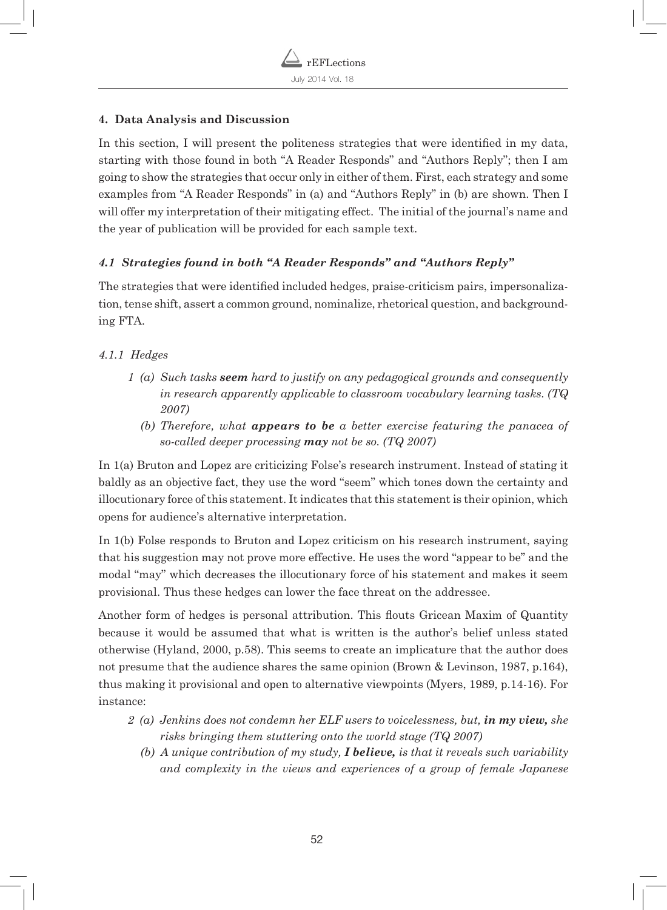## **4. Data Analysis and Discussion**

In this section, I will present the politeness strategies that were identified in my data, starting with those found in both "A Reader Responds" and "Authors Reply"; then I am going to show the strategies that occur only in either of them. First, each strategy and some examples from "A Reader Responds" in (a) and "Authors Reply" in (b) are shown. Then I will offer my interpretation of their mitigating effect. The initial of the journal's name and the year of publication will be provided for each sample text.

# *4.1 Strategies found in both "A Reader Responds" and "Authors Reply"*

The strategies that were identified included hedges, praise-criticism pairs, impersonalization, tense shift, assert a common ground, nominalize, rhetorical question, and backgrounding FTA.

# *4.1.1 Hedges*

- *1 (a) Such tasks seem hard to justify on any pedagogical grounds and consequently in research apparently applicable to classroom vocabulary learning tasks. (TQ 2007)* 
	- *(b) Therefore, what appears to be a better exercise featuring the panacea of so-called deeper processing may not be so. (TQ 2007)*

In 1(a) Bruton and Lopez are criticizing Folse's research instrument. Instead of stating it baldly as an objective fact, they use the word "seem" which tones down the certainty and illocutionary force of this statement. It indicates that this statement is their opinion, which opens for audience's alternative interpretation.

In 1(b) Folse responds to Bruton and Lopez criticism on his research instrument, saying that his suggestion may not prove more effective. He uses the word "appear to be" and the modal "may" which decreases the illocutionary force of his statement and makes it seem provisional. Thus these hedges can lower the face threat on the addressee.

Another form of hedges is personal attribution. This flouts Gricean Maxim of Quantity because it would be assumed that what is written is the author's belief unless stated otherwise (Hyland, 2000, p.58). This seems to create an implicature that the author does not presume that the audience shares the same opinion (Brown & Levinson, 1987, p.164), thus making it provisional and open to alternative viewpoints (Myers, 1989, p.14-16). For instance:

- *2 (a) Jenkins does not condemn her ELF users to voicelessness, but, in my view, she risks bringing them stuttering onto the world stage (TQ 2007)*
	- *(b) A unique contribution of my study, I believe, is that it reveals such variability and complexity in the views and experiences of a group of female Japanese*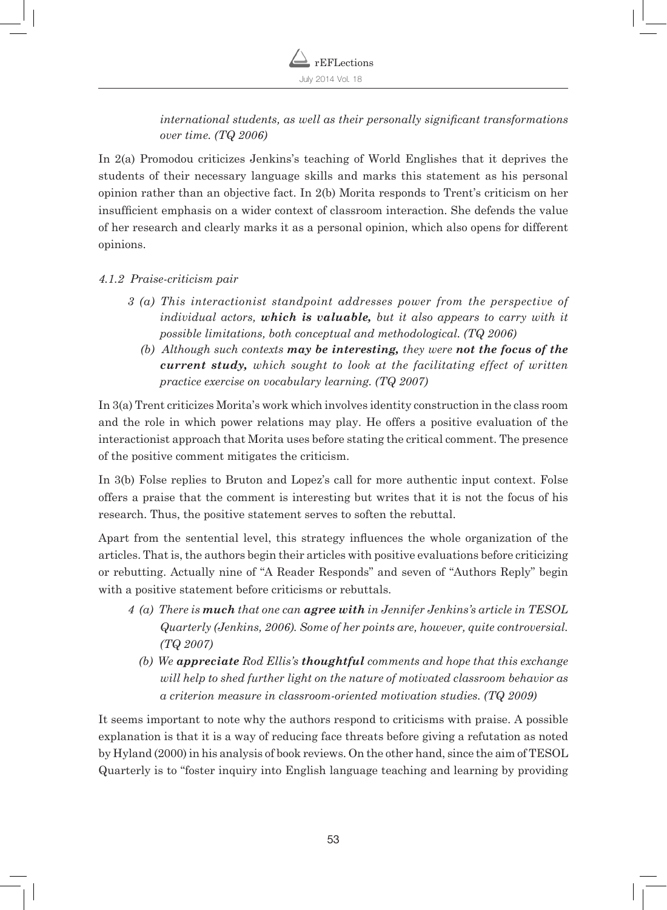*international students, as well as their personally significant transformations over time. (TQ 2006)* 

In 2(a) Promodou criticizes Jenkins's teaching of World Englishes that it deprives the students of their necessary language skills and marks this statement as his personal opinion rather than an objective fact. In 2(b) Morita responds to Trent's criticism on her insufficient emphasis on a wider context of classroom interaction. She defends the value of her research and clearly marks it as a personal opinion, which also opens for different opinions.

# *4.1.2 Praise-criticism pair*

- *3 (a) This interactionist standpoint addresses power from the perspective of individual actors, which is valuable, but it also appears to carry with it possible limitations, both conceptual and methodological. (TQ 2006)*
	- *(b) Although such contexts may be interesting, they were not the focus of the current study, which sought to look at the facilitating effect of written practice exercise on vocabulary learning. (TQ 2007)*

In 3(a) Trent criticizes Morita's work which involves identity construction in the class room and the role in which power relations may play. He offers a positive evaluation of the interactionist approach that Morita uses before stating the critical comment. The presence of the positive comment mitigates the criticism.

In 3(b) Folse replies to Bruton and Lopez's call for more authentic input context. Folse offers a praise that the comment is interesting but writes that it is not the focus of his research. Thus, the positive statement serves to soften the rebuttal.

Apart from the sentential level, this strategy influences the whole organization of the articles. That is, the authors begin their articles with positive evaluations before criticizing or rebutting. Actually nine of "A Reader Responds" and seven of "Authors Reply" begin with a positive statement before criticisms or rebuttals.

- *4 (a) There is much that one can agree with in Jennifer Jenkins's article in TESOL Quarterly (Jenkins, 2006). Some of her points are, however, quite controversial. (TQ 2007)* 
	- *(b) We appreciate Rod Ellis's thoughtful comments and hope that this exchange will help to shed further light on the nature of motivated classroom behavior as a criterion measure in classroom-oriented motivation studies. (TQ 2009)*

It seems important to note why the authors respond to criticisms with praise. A possible explanation is that it is a way of reducing face threats before giving a refutation as noted by Hyland (2000) in his analysis of book reviews. On the other hand, since the aim of TESOL Quarterly is to "foster inquiry into English language teaching and learning by providing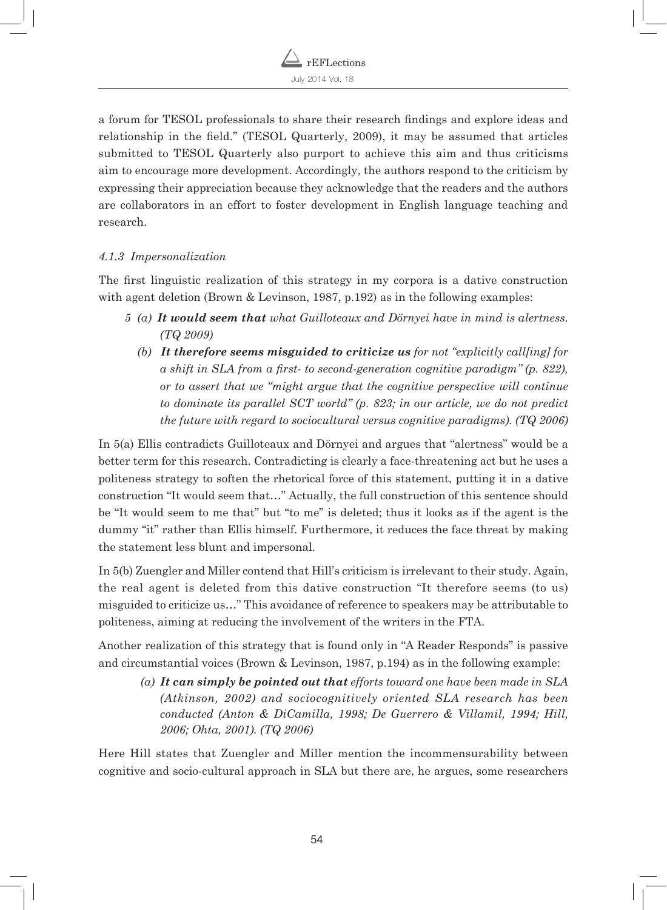

a forum for TESOL professionals to share their research findings and explore ideas and relationship in the field." (TESOL Quarterly, 2009), it may be assumed that articles submitted to TESOL Quarterly also purport to achieve this aim and thus criticisms aim to encourage more development. Accordingly, the authors respond to the criticism by expressing their appreciation because they acknowledge that the readers and the authors are collaborators in an effort to foster development in English language teaching and research.

#### *4.1.3 Impersonalization*

The first linguistic realization of this strategy in my corpora is a dative construction with agent deletion (Brown & Levinson, 1987, p.192) as in the following examples:

- *5 (a) It would seem that what Guilloteaux and Dörnyei have in mind is alertness. (TQ 2009)* 
	- *(b) It therefore seems misguided to criticize us for not "explicitly call[ing] for a shift in SLA from a first- to second-generation cognitive paradigm" (p. 822), or to assert that we "might argue that the cognitive perspective will continue to dominate its parallel SCT world" (p. 823; in our article, we do not predict the future with regard to sociocultural versus cognitive paradigms). (TQ 2006)*

In 5(a) Ellis contradicts Guilloteaux and Dörnyei and argues that "alertness" would be a better term for this research. Contradicting is clearly a face-threatening act but he uses a politeness strategy to soften the rhetorical force of this statement, putting it in a dative construction "It would seem that…" Actually, the full construction of this sentence should be "It would seem to me that" but "to me" is deleted; thus it looks as if the agent is the dummy "it" rather than Ellis himself. Furthermore, it reduces the face threat by making the statement less blunt and impersonal.

In 5(b) Zuengler and Miller contend that Hill's criticism is irrelevant to their study. Again, the real agent is deleted from this dative construction "It therefore seems (to us) misguided to criticize us…" This avoidance of reference to speakers may be attributable to politeness, aiming at reducing the involvement of the writers in the FTA.

Another realization of this strategy that is found only in "A Reader Responds" is passive and circumstantial voices (Brown & Levinson, 1987, p.194) as in the following example:

*(a) It can simply be pointed out that efforts toward one have been made in SLA (Atkinson, 2002) and sociocognitively oriented SLA research has been conducted (Anton & DiCamilla, 1998; De Guerrero & Villamil, 1994; Hill, 2006; Ohta, 2001). (TQ 2006)*

Here Hill states that Zuengler and Miller mention the incommensurability between cognitive and socio-cultural approach in SLA but there are, he argues, some researchers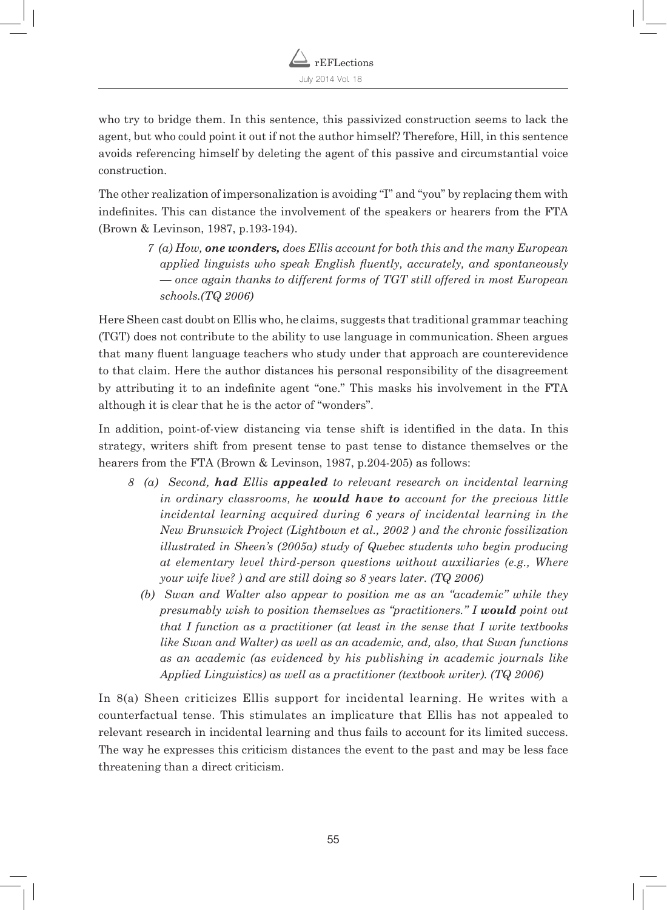who try to bridge them. In this sentence, this passivized construction seems to lack the agent, but who could point it out if not the author himself? Therefore, Hill, in this sentence avoids referencing himself by deleting the agent of this passive and circumstantial voice construction.

The other realization of impersonalization is avoiding "I" and "you" by replacing them with indefinites. This can distance the involvement of the speakers or hearers from the FTA (Brown & Levinson, 1987, p.193-194).

> *7 (a) How, one wonders, does Ellis account for both this and the many European applied linguists who speak English fluently, accurately, and spontaneously — once again thanks to different forms of TGT still offered in most European schools.(TQ 2006)*

Here Sheen cast doubt on Ellis who, he claims, suggests that traditional grammar teaching (TGT) does not contribute to the ability to use language in communication. Sheen argues that many fluent language teachers who study under that approach are counterevidence to that claim. Here the author distances his personal responsibility of the disagreement by attributing it to an indefinite agent "one." This masks his involvement in the FTA although it is clear that he is the actor of "wonders".

In addition, point-of-view distancing via tense shift is identified in the data. In this strategy, writers shift from present tense to past tense to distance themselves or the hearers from the FTA (Brown & Levinson, 1987, p.204-205) as follows:

- *8 (a) Second, had Ellis appealed to relevant research on incidental learning in ordinary classrooms, he would have to account for the precious little incidental learning acquired during 6 years of incidental learning in the New Brunswick Project (Lightbown et al., 2002 ) and the chronic fossilization illustrated in Sheen's (2005a) study of Quebec students who begin producing at elementary level third-person questions without auxiliaries (e.g., Where your wife live? ) and are still doing so 8 years later. (TQ 2006)* 
	- *(b) Swan and Walter also appear to position me as an "academic" while they presumably wish to position themselves as "practitioners." I would point out that I function as a practitioner (at least in the sense that I write textbooks like Swan and Walter) as well as an academic, and, also, that Swan functions as an academic (as evidenced by his publishing in academic journals like Applied Linguistics) as well as a practitioner (textbook writer). (TQ 2006)*

In 8(a) Sheen criticizes Ellis support for incidental learning. He writes with a counterfactual tense. This stimulates an implicature that Ellis has not appealed to relevant research in incidental learning and thus fails to account for its limited success. The way he expresses this criticism distances the event to the past and may be less face threatening than a direct criticism.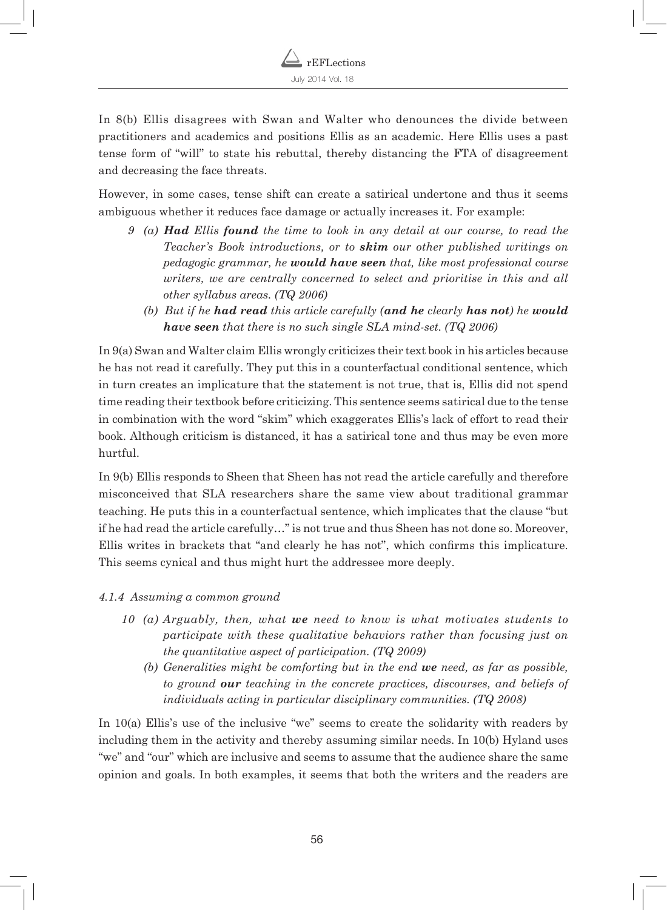

In 8(b) Ellis disagrees with Swan and Walter who denounces the divide between practitioners and academics and positions Ellis as an academic. Here Ellis uses a past tense form of "will" to state his rebuttal, thereby distancing the FTA of disagreement and decreasing the face threats.

However, in some cases, tense shift can create a satirical undertone and thus it seems ambiguous whether it reduces face damage or actually increases it. For example:

- *9 (a) Had Ellis found the time to look in any detail at our course, to read the Teacher's Book introductions, or to skim our other published writings on pedagogic grammar, he would have seen that, like most professional course writers, we are centrally concerned to select and prioritise in this and all other syllabus areas. (TQ 2006)* 
	- *(b) But if he had read this article carefully (and he clearly has not) he would have seen that there is no such single SLA mind-set. (TQ 2006)*

In 9(a) Swan and Walter claim Ellis wrongly criticizes their text book in his articles because he has not read it carefully. They put this in a counterfactual conditional sentence, which in turn creates an implicature that the statement is not true, that is, Ellis did not spend time reading their textbook before criticizing. This sentence seems satirical due to the tense in combination with the word "skim" which exaggerates Ellis's lack of effort to read their book. Although criticism is distanced, it has a satirical tone and thus may be even more hurtful.

In 9(b) Ellis responds to Sheen that Sheen has not read the article carefully and therefore misconceived that SLA researchers share the same view about traditional grammar teaching. He puts this in a counterfactual sentence, which implicates that the clause "but if he had read the article carefully…" is not true and thus Sheen has not done so. Moreover, Ellis writes in brackets that "and clearly he has not", which confirms this implicature. This seems cynical and thus might hurt the addressee more deeply.

- *4.1.4 Assuming a common ground*
	- *10 (a) Arguably, then, what we need to know is what motivates students to participate with these qualitative behaviors rather than focusing just on the quantitative aspect of participation. (TQ 2009)* 
		- *(b) Generalities might be comforting but in the end we need, as far as possible, to ground our teaching in the concrete practices, discourses, and beliefs of individuals acting in particular disciplinary communities. (TQ 2008)*

In 10(a) Ellis's use of the inclusive "we" seems to create the solidarity with readers by including them in the activity and thereby assuming similar needs. In 10(b) Hyland uses "we" and "our" which are inclusive and seems to assume that the audience share the same opinion and goals. In both examples, it seems that both the writers and the readers are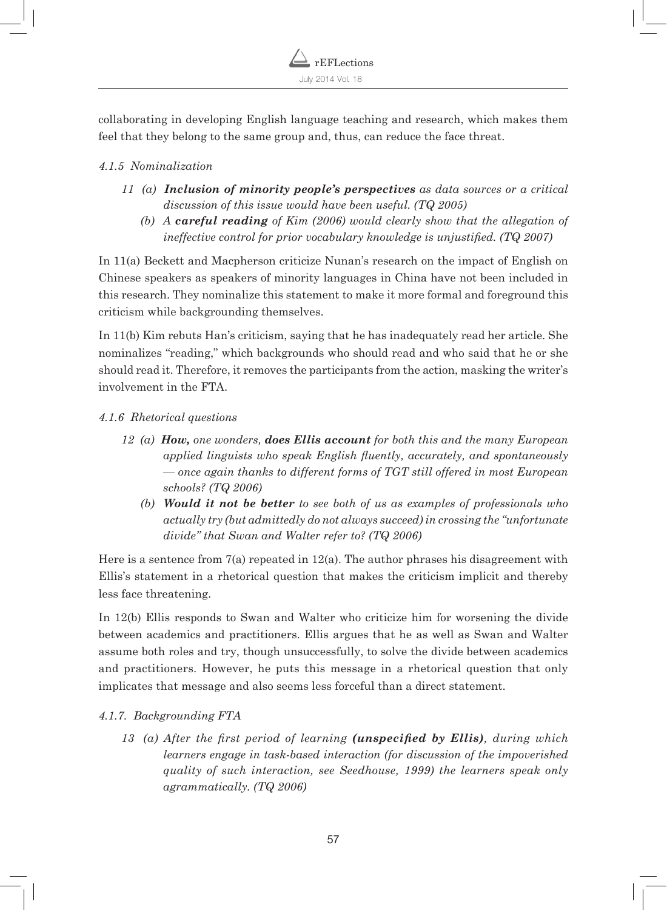

collaborating in developing English language teaching and research, which makes them feel that they belong to the same group and, thus, can reduce the face threat.

### *4.1.5 Nominalization*

- *11 (a) Inclusion of minority people's perspectives as data sources or a critical discussion of this issue would have been useful. (TQ 2005)* 
	- *(b) A careful reading of Kim (2006) would clearly show that the allegation of ineffective control for prior vocabulary knowledge is unjustified. (TQ 2007)*

In 11(a) Beckett and Macpherson criticize Nunan's research on the impact of English on Chinese speakers as speakers of minority languages in China have not been included in this research. They nominalize this statement to make it more formal and foreground this criticism while backgrounding themselves.

In 11(b) Kim rebuts Han's criticism, saying that he has inadequately read her article. She nominalizes "reading," which backgrounds who should read and who said that he or she should read it. Therefore, it removes the participants from the action, masking the writer's involvement in the FTA.

### *4.1.6 Rhetorical questions*

- *12 (a) How, one wonders, does Ellis account for both this and the many European applied linguists who speak English fluently, accurately, and spontaneously — once again thanks to different forms of TGT still offered in most European schools? (TQ 2006)* 
	- *(b) Would it not be better to see both of us as examples of professionals who actually try (but admittedly do not always succeed) in crossing the "unfortunate divide" that Swan and Walter refer to? (TQ 2006)*

Here is a sentence from  $7(a)$  repeated in 12(a). The author phrases his disagreement with Ellis's statement in a rhetorical question that makes the criticism implicit and thereby less face threatening.

In 12(b) Ellis responds to Swan and Walter who criticize him for worsening the divide between academics and practitioners. Ellis argues that he as well as Swan and Walter assume both roles and try, though unsuccessfully, to solve the divide between academics and practitioners. However, he puts this message in a rhetorical question that only implicates that message and also seems less forceful than a direct statement.

# *4.1.7. Backgrounding FTA*

*13 (a) After the first period of learning (unspecified by Ellis), during which learners engage in task-based interaction (for discussion of the impoverished quality of such interaction, see Seedhouse, 1999) the learners speak only agrammatically. (TQ 2006)*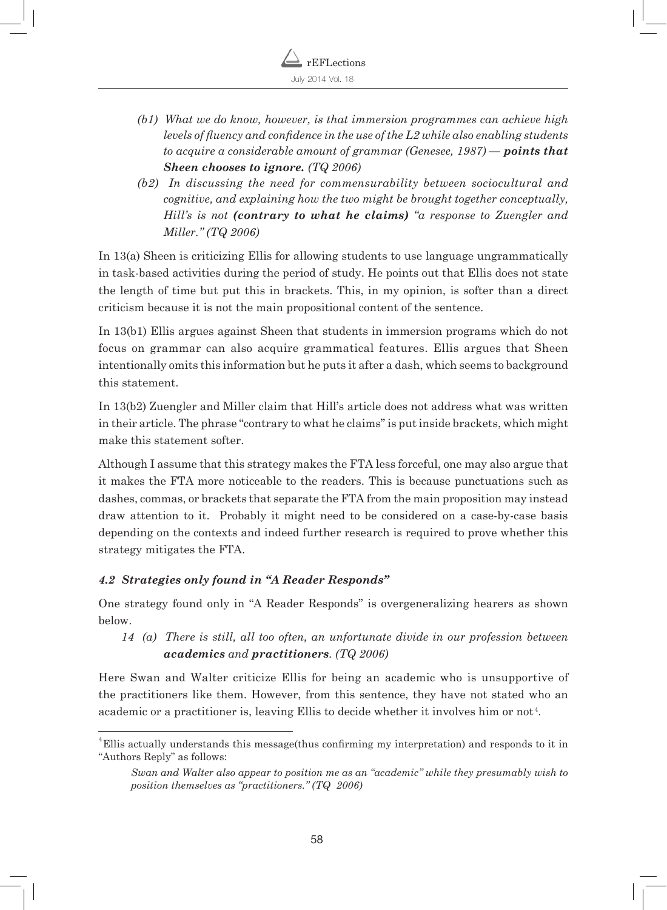- *(b1) What we do know, however, is that immersion programmes can achieve high levels of fluency and confidence in the use of the L2 while also enabling students to acquire a considerable amount of grammar (Genesee, 1987) — points that Sheen chooses to ignore. (TQ 2006)*
- *(b2) In discussing the need for commensurability between sociocultural and cognitive, and explaining how the two might be brought together conceptually, Hill's is not (contrary to what he claims) "a response to Zuengler and Miller." (TQ 2006)*

In 13(a) Sheen is criticizing Ellis for allowing students to use language ungrammatically in task-based activities during the period of study. He points out that Ellis does not state the length of time but put this in brackets. This, in my opinion, is softer than a direct criticism because it is not the main propositional content of the sentence.

In 13(b1) Ellis argues against Sheen that students in immersion programs which do not focus on grammar can also acquire grammatical features. Ellis argues that Sheen intentionally omits this information but he puts it after a dash, which seems to background this statement.

In 13(b2) Zuengler and Miller claim that Hill's article does not address what was written in their article. The phrase "contrary to what he claims" is put inside brackets, which might make this statement softer.

Although I assume that this strategy makes the FTA less forceful, one may also argue that it makes the FTA more noticeable to the readers. This is because punctuations such as dashes, commas, or brackets that separate the FTA from the main proposition may instead draw attention to it. Probably it might need to be considered on a case-by-case basis depending on the contexts and indeed further research is required to prove whether this strategy mitigates the FTA.

# *4.2 Strategies only found in "A Reader Responds"*

One strategy found only in "A Reader Responds" is overgeneralizing hearers as shown below.

# *14 (a) There is still, all too often, an unfortunate divide in our profession between academics and practitioners. (TQ 2006)*

Here Swan and Walter criticize Ellis for being an academic who is unsupportive of the practitioners like them. However, from this sentence, they have not stated who an academic or a practitioner is, leaving Ellis to decide whether it involves him or not<sup>4</sup>.

 ${}^{4}$ Ellis actually understands this message(thus confirming my interpretation) and responds to it in "Authors Reply" as follows:

*Swan and Walter also appear to position me as an "academic" while they presumably wish to position themselves as "practitioners." (TQ 2006)*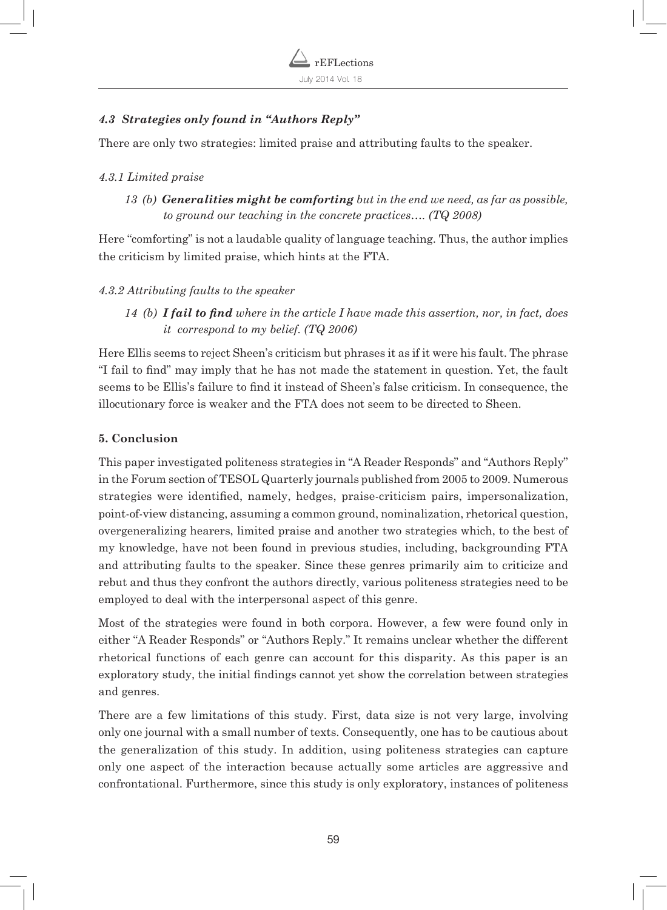

## *4.3 Strategies only found in "Authors Reply"*

There are only two strategies: limited praise and attributing faults to the speaker.

#### *4.3.1 Limited praise*

*13 (b) Generalities might be comforting but in the end we need, as far as possible, to ground our teaching in the concrete practices…. (TQ 2008)*

Here "comforting" is not a laudable quality of language teaching. Thus, the author implies the criticism by limited praise, which hints at the FTA.

#### *4.3.2 Attributing faults to the speaker*

*14 (b) I fail to find where in the article I have made this assertion, nor, in fact, does it correspond to my belief. (TQ 2006)* 

Here Ellis seems to reject Sheen's criticism but phrases it as if it were his fault. The phrase "I fail to find" may imply that he has not made the statement in question. Yet, the fault seems to be Ellis's failure to find it instead of Sheen's false criticism. In consequence, the illocutionary force is weaker and the FTA does not seem to be directed to Sheen.

#### **5. Conclusion**

This paper investigated politeness strategies in "A Reader Responds" and "Authors Reply" in the Forum section of TESOL Quarterly journals published from 2005 to 2009. Numerous strategies were identified, namely, hedges, praise-criticism pairs, impersonalization, point-of-view distancing, assuming a common ground, nominalization, rhetorical question, overgeneralizing hearers, limited praise and another two strategies which, to the best of my knowledge, have not been found in previous studies, including, backgrounding FTA and attributing faults to the speaker. Since these genres primarily aim to criticize and rebut and thus they confront the authors directly, various politeness strategies need to be employed to deal with the interpersonal aspect of this genre.

Most of the strategies were found in both corpora. However, a few were found only in either "A Reader Responds" or "Authors Reply." It remains unclear whether the different rhetorical functions of each genre can account for this disparity. As this paper is an exploratory study, the initial findings cannot yet show the correlation between strategies and genres.

There are a few limitations of this study. First, data size is not very large, involving only one journal with a small number of texts. Consequently, one has to be cautious about the generalization of this study. In addition, using politeness strategies can capture only one aspect of the interaction because actually some articles are aggressive and confrontational. Furthermore, since this study is only exploratory, instances of politeness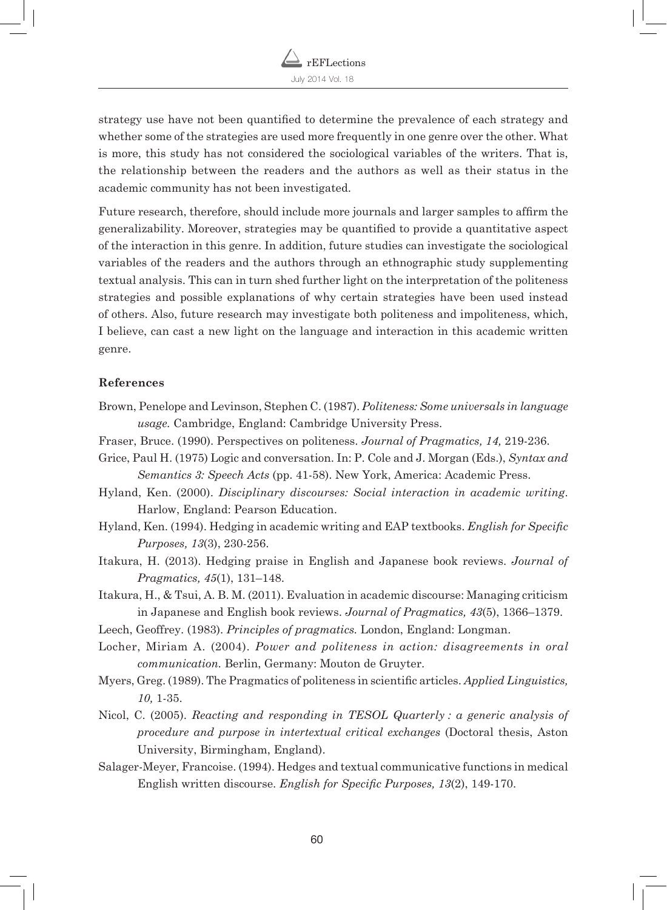

strategy use have not been quantified to determine the prevalence of each strategy and whether some of the strategies are used more frequently in one genre over the other. What is more, this study has not considered the sociological variables of the writers. That is, the relationship between the readers and the authors as well as their status in the academic community has not been investigated.

Future research, therefore, should include more journals and larger samples to affirm the generalizability. Moreover, strategies may be quantified to provide a quantitative aspect of the interaction in this genre. In addition, future studies can investigate the sociological variables of the readers and the authors through an ethnographic study supplementing textual analysis. This can in turn shed further light on the interpretation of the politeness strategies and possible explanations of why certain strategies have been used instead of others. Also, future research may investigate both politeness and impoliteness, which, I believe, can cast a new light on the language and interaction in this academic written genre.

#### **References**

- Brown, Penelope and Levinson, Stephen C. (1987). *Politeness: Some universals in language usage.* Cambridge, England: Cambridge University Press.
- Fraser, Bruce. (1990). Perspectives on politeness. *Journal of Pragmatics, 14,* 219-236.
- Grice, Paul H. (1975) Logic and conversation. In: P. Cole and J. Morgan (Eds.), *Syntax and Semantics 3: Speech Acts* (pp. 41-58). New York, America: Academic Press.
- Hyland, Ken. (2000). *Disciplinary discourses: Social interaction in academic writing*. Harlow, England: Pearson Education.
- Hyland, Ken. (1994). Hedging in academic writing and EAP textbooks. *English for Specific Purposes, 13*(3), 230-256.
- Itakura, H. (2013). Hedging praise in English and Japanese book reviews. *Journal of Pragmatics, 45*(1), 131–148.
- Itakura, H., & Tsui, A. B. M. (2011). Evaluation in academic discourse: Managing criticism in Japanese and English book reviews. *Journal of Pragmatics, 43*(5), 1366–1379.
- Leech, Geoffrey. (1983). *Principles of pragmatics.* London, England: Longman.
- Locher, Miriam A. (2004). *Power and politeness in action: disagreements in oral communication.* Berlin, Germany: Mouton de Gruyter.
- Myers, Greg. (1989). The Pragmatics of politeness in scientific articles. *Applied Linguistics, 10,* 1-35.
- Nicol, C. (2005). *Reacting and responding in TESOL Quarterly : a generic analysis of procedure and purpose in intertextual critical exchanges* (Doctoral thesis, Aston University, Birmingham, England).
- Salager-Meyer, Francoise. (1994). Hedges and textual communicative functions in medical English written discourse. *English for Specific Purposes, 13*(2), 149-170.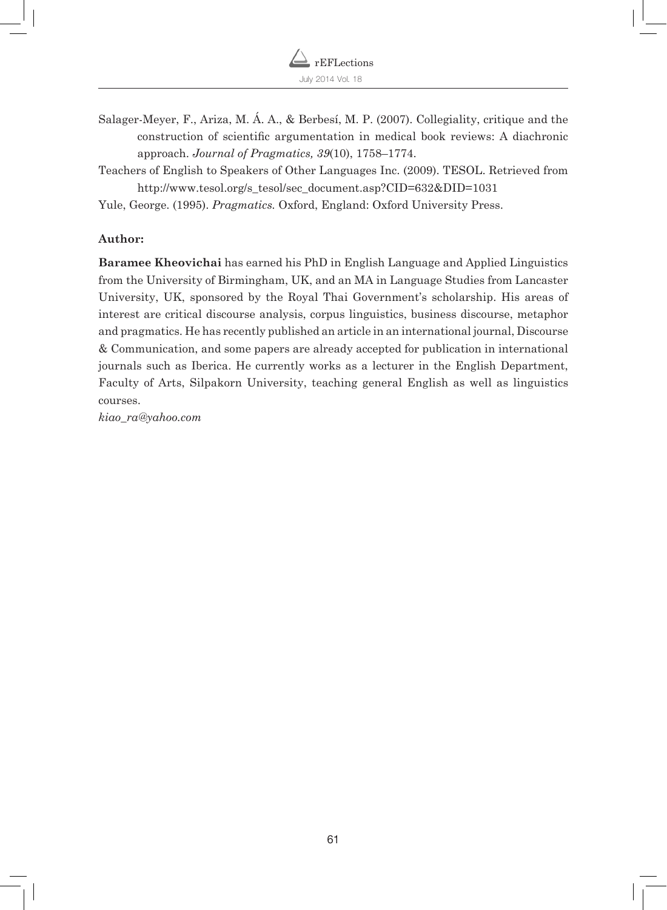

Salager-Meyer, F., Ariza, M. Á. A., & Berbesí, M. P. (2007). Collegiality, critique and the construction of scientific argumentation in medical book reviews: A diachronic approach. *Journal of Pragmatics, 39*(10), 1758–1774.

Teachers of English to Speakers of Other Languages Inc. (2009). TESOL. Retrieved from http://www.tesol.org/s\_tesol/sec\_document.asp?CID=632&DID=1031

Yule, George. (1995). *Pragmatics.* Oxford, England: Oxford University Press.

#### **Author:**

**Baramee Kheovichai** has earned his PhD in English Language and Applied Linguistics from the University of Birmingham, UK, and an MA in Language Studies from Lancaster University, UK, sponsored by the Royal Thai Government's scholarship. His areas of interest are critical discourse analysis, corpus linguistics, business discourse, metaphor and pragmatics. He has recently published an article in an international journal, Discourse & Communication, and some papers are already accepted for publication in international journals such as Iberica. He currently works as a lecturer in the English Department, Faculty of Arts, Silpakorn University, teaching general English as well as linguistics courses.

*kiao\_ra@yahoo.com*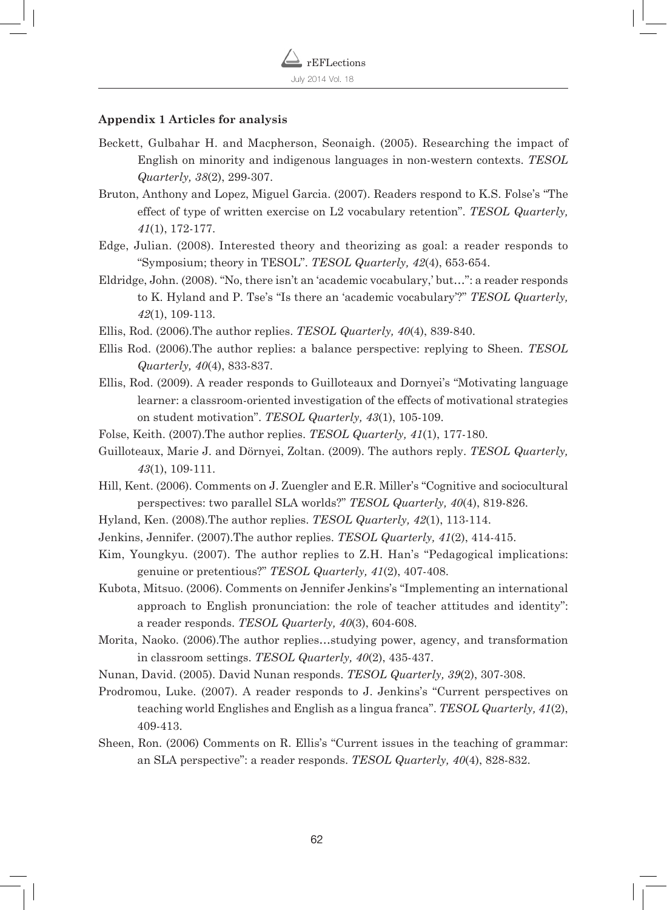#### **Appendix 1 Articles for analysis**

- Beckett, Gulbahar H. and Macpherson, Seonaigh. (2005). Researching the impact of English on minority and indigenous languages in non-western contexts. *TESOL Quarterly, 38*(2), 299-307.
- Bruton, Anthony and Lopez, Miguel Garcia. (2007). Readers respond to K.S. Folse's "The effect of type of written exercise on L2 vocabulary retention". *TESOL Quarterly, 41*(1), 172-177.
- Edge, Julian. (2008). Interested theory and theorizing as goal: a reader responds to "Symposium; theory in TESOL". *TESOL Quarterly, 42*(4), 653-654.
- Eldridge, John. (2008). "No, there isn't an 'academic vocabulary,' but…": a reader responds to K. Hyland and P. Tse's "Is there an 'academic vocabulary'?" *TESOL Quarterly, 42*(1), 109-113.
- Ellis, Rod. (2006).The author replies. *TESOL Quarterly, 40*(4), 839-840.
- Ellis Rod. (2006).The author replies: a balance perspective: replying to Sheen. *TESOL Quarterly, 40*(4), 833-837.
- Ellis, Rod. (2009). A reader responds to Guilloteaux and Dornyei's "Motivating language learner: a classroom-oriented investigation of the effects of motivational strategies on student motivation". *TESOL Quarterly, 43*(1), 105-109.
- Folse, Keith. (2007).The author replies. *TESOL Quarterly, 41*(1), 177-180.
- Guilloteaux, Marie J. and Dörnyei, Zoltan. (2009). The authors reply. *TESOL Quarterly, 43*(1), 109-111.
- Hill, Kent. (2006). Comments on J. Zuengler and E.R. Miller's "Cognitive and sociocultural perspectives: two parallel SLA worlds?" *TESOL Quarterly, 40*(4), 819-826.
- Hyland, Ken. (2008).The author replies. *TESOL Quarterly, 42*(1), 113-114.
- Jenkins, Jennifer. (2007).The author replies. *TESOL Quarterly, 41*(2), 414-415.
- Kim, Youngkyu. (2007). The author replies to Z.H. Han's "Pedagogical implications: genuine or pretentious?" *TESOL Quarterly, 41*(2), 407-408.
- Kubota, Mitsuo. (2006). Comments on Jennifer Jenkins's "Implementing an international approach to English pronunciation: the role of teacher attitudes and identity": a reader responds. *TESOL Quarterly, 40*(3), 604-608.
- Morita, Naoko. (2006).The author replies…studying power, agency, and transformation in classroom settings. *TESOL Quarterly, 40*(2), 435-437.
- Nunan, David. (2005). David Nunan responds. *TESOL Quarterly, 39*(2), 307-308.
- Prodromou, Luke. (2007). A reader responds to J. Jenkins's "Current perspectives on teaching world Englishes and English as a lingua franca". *TESOL Quarterly, 41*(2), 409-413.
- Sheen, Ron. (2006) Comments on R. Ellis's "Current issues in the teaching of grammar: an SLA perspective": a reader responds. *TESOL Quarterly, 40*(4), 828-832.